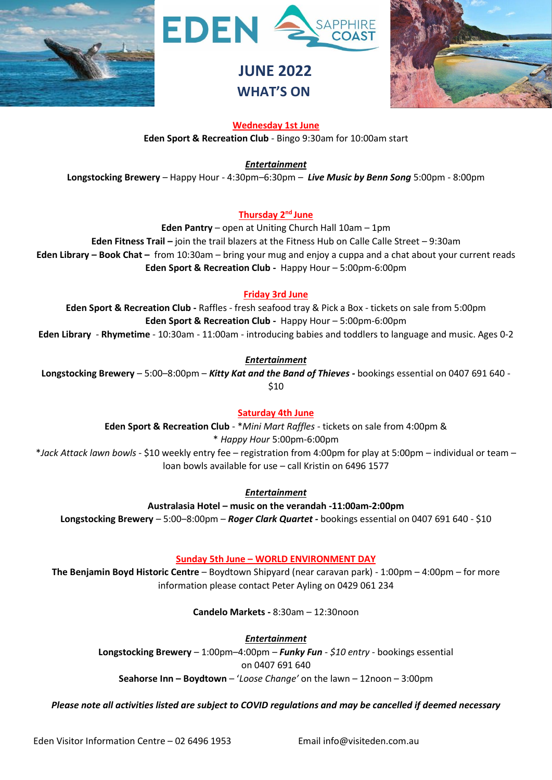





### **Wednesday 1st June**

**Eden Sport & Recreation Club** - Bingo 9:30am for 10:00am start

*Entertainment*

**Longstocking Brewery** – Happy Hour - 4:30pm–6:30pm – *Live Music by Benn Song* 5:00pm - 8:00pm

### **Thursday 2<sup>nd</sup> June**

**Eden Pantry** – open at Uniting Church Hall 10am – 1pm

**Eden Fitness Trail –** join the trail blazers at the Fitness Hub on Calle Calle Street – 9:30am **Eden Library – Book Chat –** from 10:30am – bring your mug and enjoy a cuppa and a chat about your current reads **Eden Sport & Recreation Club -** Happy Hour – 5:00pm-6:00pm

## **Friday 3rd June**

**Eden Sport & Recreation Club -** Raffles - fresh seafood tray & Pick a Box - tickets on sale from 5:00pm **Eden Sport & Recreation Club -** Happy Hour – 5:00pm-6:00pm **Eden Library** - **Rhymetime** - 10:30am - 11:00am - introducing babies and toddlers to language and music. Ages 0-2

*Entertainment* Longstocking Brewery – 5:00–8:00pm – Kitty Kat and the Band of Thieves - bookings essential on 0407 691 640 -\$10

## **Saturday 4th June**

**Eden Sport & Recreation Club** - \**Mini Mart Raffles* - tickets on sale from 4:00pm & \* *Happy Hour* 5:00pm-6:00pm \**Jack Attack lawn bowls* - \$10 weekly entry fee – registration from 4:00pm for play at 5:00pm – individual or team –

*Entertainment*

loan bowls available for use – call Kristin on 6496 1577

**Australasia Hotel – music on the verandah -11:00am-2:00pm** Longstocking Brewery – 5:00–8:00pm – *Roger Clark Quartet -* bookings essential on 0407 691 640 - \$10

## **Sunday 5th June – WORLD ENVIRONMENT DAY**

**The Benjamin Boyd Historic Centre** – Boydtown Shipyard (near caravan park) - 1:00pm – 4:00pm – for more information please contact Peter Ayling on 0429 061 234

**Candelo Markets -** 8:30am – 12:30noon

*Entertainment*

**Longstocking Brewery** – 1:00pm–4:00pm – *Funky Fun - \$10 entry* - bookings essential on 0407 691 640

**Seahorse Inn – Boydtown** – '*Loose Change'* on the lawn – 12noon – 3:00pm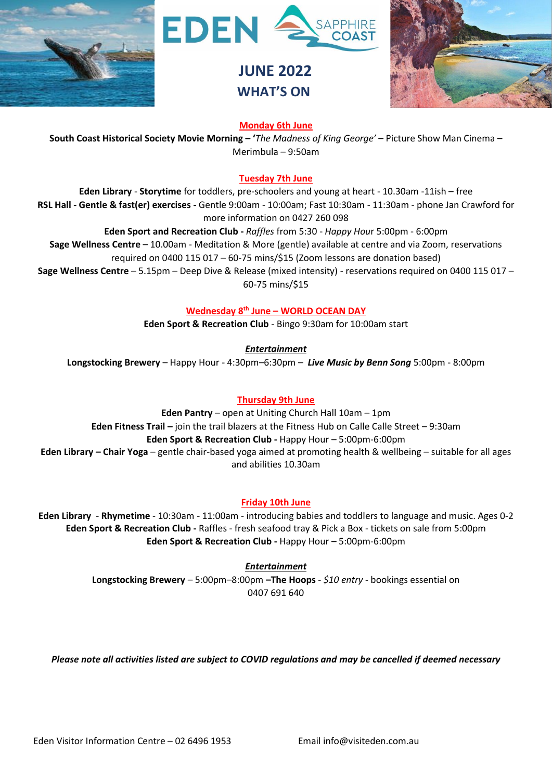





### **Monday 6th June**

**South Coast Historical Society Movie Morning – '***The Madness of King George'* – Picture Show Man Cinema – Merimbula – 9:50am

### **Tuesday 7th June**

**Eden Library** - **Storytime** for toddlers, pre-schoolers and young at heart - 10.30am -11ish – free **RSL Hall - Gentle & fast(er) exercises -** Gentle 9:00am - 10:00am; Fast 10:30am - 11:30am - phone Jan Crawford for more information on 0427 260 098

**Eden Sport and Recreation Club -** *Raffles* from 5:30 - *Happy Hou*r 5:00pm - 6:00pm

**Sage Wellness Centre** – 10.00am - Meditation & More (gentle) available at centre and via Zoom, reservations required on 0400 115 017 – 60-75 mins/\$15 (Zoom lessons are donation based)

**Sage Wellness Centre** – 5.15pm – Deep Dive & Release (mixed intensity) - reservations required on 0400 115 017 – 60-75 mins/\$15

**Wednesday 8 th June – WORLD OCEAN DAY**

**Eden Sport & Recreation Club** - Bingo 9:30am for 10:00am start

*Entertainment*

**Longstocking Brewery** – Happy Hour - 4:30pm–6:30pm – *Live Music by Benn Song* 5:00pm - 8:00pm

### **Thursday 9th June**

**Eden Pantry** – open at Uniting Church Hall 10am – 1pm **Eden Fitness Trail –** join the trail blazers at the Fitness Hub on Calle Calle Street – 9:30am **Eden Sport & Recreation Club -** Happy Hour – 5:00pm-6:00pm **Eden Library – Chair Yoga** – gentle chair-based yoga aimed at promoting health & wellbeing – suitable for all ages and abilities 10.30am

### **Friday 10th June**

**Eden Library** - **Rhymetime** - 10:30am - 11:00am - introducing babies and toddlers to language and music. Ages 0-2 **Eden Sport & Recreation Club -** Raffles - fresh seafood tray & Pick a Box - tickets on sale from 5:00pm **Eden Sport & Recreation Club -** Happy Hour – 5:00pm-6:00pm

> *Entertainment* **Longstocking Brewery** – 5:00pm–8:00pm **–The Hoops** - *\$10 entry* - bookings essential on 0407 691 640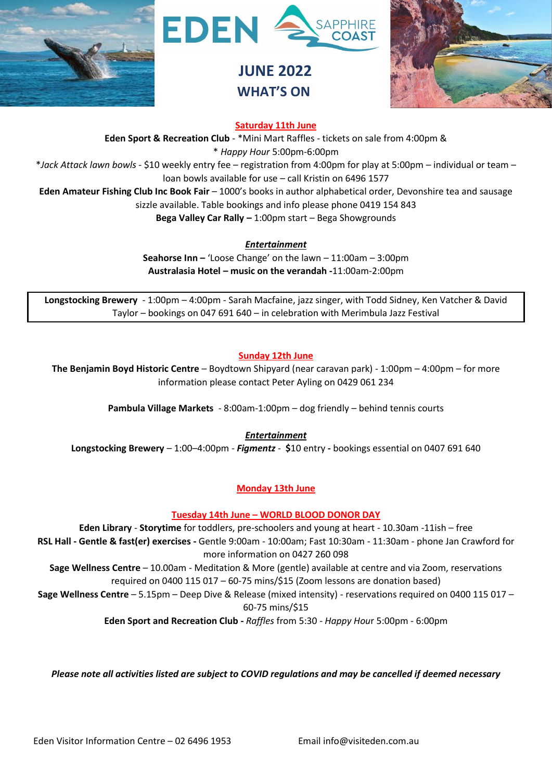





### **Saturday 11th June**

**Eden Sport & Recreation Club** - \*Mini Mart Raffles - tickets on sale from 4:00pm & \* *Happy Hour* 5:00pm-6:00pm \**Jack Attack lawn bowls* - \$10 weekly entry fee – registration from 4:00pm for play at 5:00pm – individual or team – loan bowls available for use – call Kristin on 6496 1577 **Eden Amateur Fishing Club Inc Book Fair** – 1000's books in author alphabetical order, Devonshire tea and sausage

sizzle available. Table bookings and info please phone 0419 154 843

**Bega Valley Car Rally –** 1:00pm start – Bega Showgrounds

*Entertainment*

**Seahorse Inn –** 'Loose Change' on the lawn – 11:00am – 3:00pm **Australasia Hotel – music on the verandah -**11:00am-2:00pm

**Longstocking Brewery** - 1:00pm – 4:00pm - Sarah Macfaine, jazz singer, with Todd Sidney, Ken Vatcher & David Taylor – bookings on 047 691 640 – in celebration with Merimbula Jazz Festival

#### **Sunday 12th June**

**The Benjamin Boyd Historic Centre** – Boydtown Shipyard (near caravan park) - 1:00pm – 4:00pm – for more information please contact Peter Ayling on 0429 061 234

**Pambula Village Markets** - 8:00am-1:00pm – dog friendly – behind tennis courts

*Entertainment*

**Longstocking Brewery** – 1:00–4:00pm - *Figmentz* - **\$**10 entry **-** bookings essential on 0407 691 640

### **Monday 13th June**

**Tuesday 14th June – WORLD BLOOD DONOR DAY**

**Eden Library** - **Storytime** for toddlers, pre-schoolers and young at heart - 10.30am -11ish – free **RSL Hall - Gentle & fast(er) exercises -** Gentle 9:00am - 10:00am; Fast 10:30am - 11:30am - phone Jan Crawford for more information on 0427 260 098

**Sage Wellness Centre** – 10.00am - Meditation & More (gentle) available at centre and via Zoom, reservations required on 0400 115 017 – 60-75 mins/\$15 (Zoom lessons are donation based)

**Sage Wellness Centre** – 5.15pm – Deep Dive & Release (mixed intensity) - reservations required on 0400 115 017 – 60-75 mins/\$15

**Eden Sport and Recreation Club -** *Raffles* from 5:30 - *Happy Hou*r 5:00pm - 6:00pm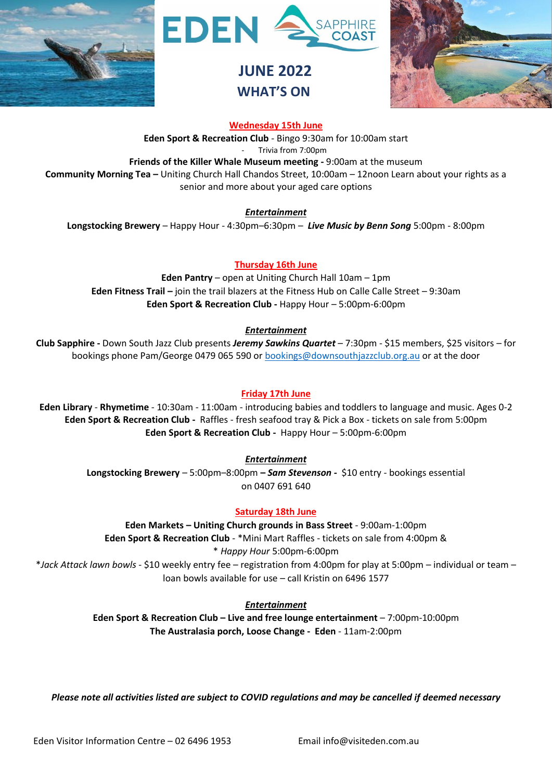





**Wednesday 15th June**

**Eden Sport & Recreation Club** - Bingo 9:30am for 10:00am start

- Trivia from 7:00pm

**Friends of the Killer Whale Museum meeting -** 9:00am at the museum **Community Morning Tea –** Uniting Church Hall Chandos Street, 10:00am – 12noon Learn about your rights as a

senior and more about your aged care options

*Entertainment*

**Longstocking Brewery** – Happy Hour - 4:30pm–6:30pm – *Live Music by Benn Song* 5:00pm - 8:00pm

## **Thursday 16th June**

**Eden Pantry** – open at Uniting Church Hall 10am – 1pm **Eden Fitness Trail –** join the trail blazers at the Fitness Hub on Calle Calle Street – 9:30am **Eden Sport & Recreation Club -** Happy Hour – 5:00pm-6:00pm

## *Entertainment*

**Club Sapphire -** Down South Jazz Club presents *Jeremy Sawkins Quartet* – 7:30pm - \$15 members, \$25 visitors – for bookings phone Pam/George 0479 065 590 or [bookings@downsouthjazzclub.org.au](mailto:bookings@downsouthjazzclub.org.au) or at the door

## **Friday 17th June**

**Eden Library** - **Rhymetime** - 10:30am - 11:00am - introducing babies and toddlers to language and music. Ages 0-2 **Eden Sport & Recreation Club -** Raffles - fresh seafood tray & Pick a Box - tickets on sale from 5:00pm **Eden Sport & Recreation Club -** Happy Hour – 5:00pm-6:00pm

*Entertainment*

**Longstocking Brewery** – 5:00pm–8:00pm **–** *Sam Stevenson -* \$10 entry - bookings essential on 0407 691 640

## **Saturday 18th June**

**Eden Markets – Uniting Church grounds in Bass Street** - 9:00am-1:00pm **Eden Sport & Recreation Club** - \*Mini Mart Raffles - tickets on sale from 4:00pm & \* *Happy Hour* 5:00pm-6:00pm \**Jack Attack lawn bowls* - \$10 weekly entry fee – registration from 4:00pm for play at 5:00pm – individual or team – loan bowls available for use – call Kristin on 6496 1577

*Entertainment*

**Eden Sport & Recreation Club – Live and free lounge entertainment** – 7:00pm-10:00pm **The Australasia porch, Loose Change - Eden** - 11am-2:00pm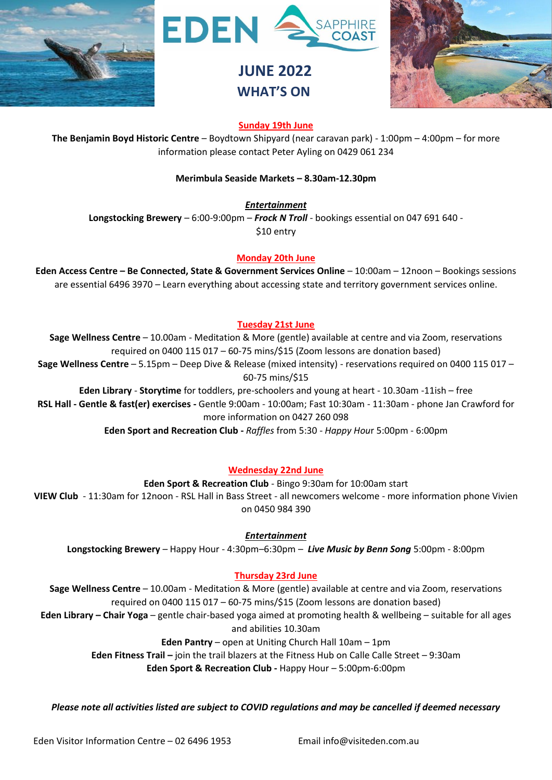





### **Sunday 19th June**

**The Benjamin Boyd Historic Centre** – Boydtown Shipyard (near caravan park) - 1:00pm – 4:00pm – for more information please contact Peter Ayling on 0429 061 234

#### **Merimbula Seaside Markets – 8.30am-12.30pm**

*Entertainment*

**Longstocking Brewery** – 6:00-9:00pm – *Frock N Troll* - bookings essential on 047 691 640 - \$10 entry

#### **Monday 20th June**

**Eden Access Centre – Be Connected, State & Government Services Online** – 10:00am – 12noon – Bookings sessions are essential 6496 3970 – Learn everything about accessing state and territory government services online.

#### **Tuesday 21st June**

**Sage Wellness Centre** – 10.00am - Meditation & More (gentle) available at centre and via Zoom, reservations required on 0400 115 017 – 60-75 mins/\$15 (Zoom lessons are donation based) **Sage Wellness Centre** – 5.15pm – Deep Dive & Release (mixed intensity) - reservations required on 0400 115 017 – 60-75 mins/\$15 **Eden Library** - **Storytime** for toddlers, pre-schoolers and young at heart - 10.30am -11ish – free **RSL Hall - Gentle & fast(er) exercises -** Gentle 9:00am - 10:00am; Fast 10:30am - 11:30am - phone Jan Crawford for

more information on 0427 260 098

**Eden Sport and Recreation Club -** *Raffles* from 5:30 - *Happy Hou*r 5:00pm - 6:00pm

### **Wednesday 22nd June**

#### **Eden Sport & Recreation Club** - Bingo 9:30am for 10:00am start

**VIEW Club** - 11:30am for 12noon - RSL Hall in Bass Street - all newcomers welcome - more information phone Vivien on 0450 984 390

#### *Entertainment*

**Longstocking Brewery** – Happy Hour - 4:30pm–6:30pm – *Live Music by Benn Song* 5:00pm - 8:00pm

### **Thursday 23rd June**

**Sage Wellness Centre** – 10.00am - Meditation & More (gentle) available at centre and via Zoom, reservations required on 0400 115 017 – 60-75 mins/\$15 (Zoom lessons are donation based)

**Eden Library – Chair Yoga** – gentle chair-based yoga aimed at promoting health & wellbeing – suitable for all ages and abilities 10.30am

**Eden Pantry** – open at Uniting Church Hall 10am – 1pm

**Eden Fitness Trail –** join the trail blazers at the Fitness Hub on Calle Calle Street – 9:30am

**Eden Sport & Recreation Club -** Happy Hour – 5:00pm-6:00pm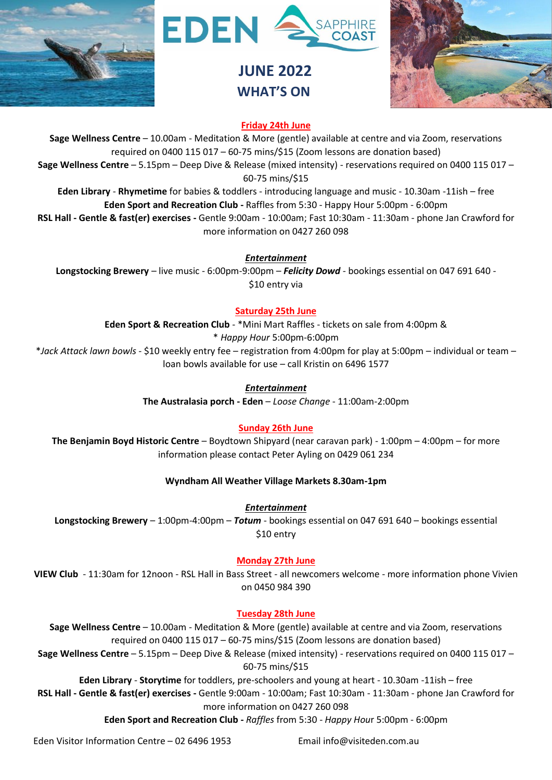





### **Friday 24th June**

**Sage Wellness Centre** – 10.00am - Meditation & More (gentle) available at centre and via Zoom, reservations required on 0400 115 017 – 60-75 mins/\$15 (Zoom lessons are donation based) **Sage Wellness Centre** – 5.15pm – Deep Dive & Release (mixed intensity) - reservations required on 0400 115 017 – 60-75 mins/\$15 **Eden Library** - **Rhymetime** for babies & toddlers - introducing language and music - 10.30am -11ish – free

**Eden Sport and Recreation Club -** Raffles from 5:30 - Happy Hour 5:00pm - 6:00pm **RSL Hall - Gentle & fast(er) exercises -** Gentle 9:00am - 10:00am; Fast 10:30am - 11:30am - phone Jan Crawford for more information on 0427 260 098

*Entertainment*

**Longstocking Brewery** – live music - 6:00pm-9:00pm – *Felicity Dowd* - bookings essential on 047 691 640 - \$10 entry via

### **Saturday 25th June**

**Eden Sport & Recreation Club** - \*Mini Mart Raffles - tickets on sale from 4:00pm &

\* *Happy Hour* 5:00pm-6:00pm

\**Jack Attack lawn bowls* - \$10 weekly entry fee – registration from 4:00pm for play at 5:00pm – individual or team – loan bowls available for use – call Kristin on 6496 1577

### *Entertainment*

**The Australasia porch - Eden** – *Loose Change* - 11:00am-2:00pm

## **Sunday 26th June**

**The Benjamin Boyd Historic Centre** – Boydtown Shipyard (near caravan park) - 1:00pm – 4:00pm – for more information please contact Peter Ayling on 0429 061 234

### **Wyndham All Weather Village Markets 8.30am-1pm**

*Entertainment*

**Longstocking Brewery** – 1:00pm-4:00pm – *Totum* - bookings essential on 047 691 640 – bookings essential \$10 entry

## **Monday 27th June**

**VIEW Club** - 11:30am for 12noon - RSL Hall in Bass Street - all newcomers welcome - more information phone Vivien on 0450 984 390

### **Tuesday 28th June**

**Sage Wellness Centre** – 10.00am - Meditation & More (gentle) available at centre and via Zoom, reservations required on 0400 115 017 – 60-75 mins/\$15 (Zoom lessons are donation based)

**Sage Wellness Centre** – 5.15pm – Deep Dive & Release (mixed intensity) - reservations required on 0400 115 017 – 60-75 mins/\$15

**Eden Library** - **Storytime** for toddlers, pre-schoolers and young at heart - 10.30am -11ish – free

**RSL Hall - Gentle & fast(er) exercises -** Gentle 9:00am - 10:00am; Fast 10:30am - 11:30am - phone Jan Crawford for more information on 0427 260 098

**Eden Sport and Recreation Club -** *Raffles* from 5:30 - *Happy Hou*r 5:00pm - 6:00pm

Eden Visitor Information Centre – 02 6496 1953 Email info@visiteden.com.au